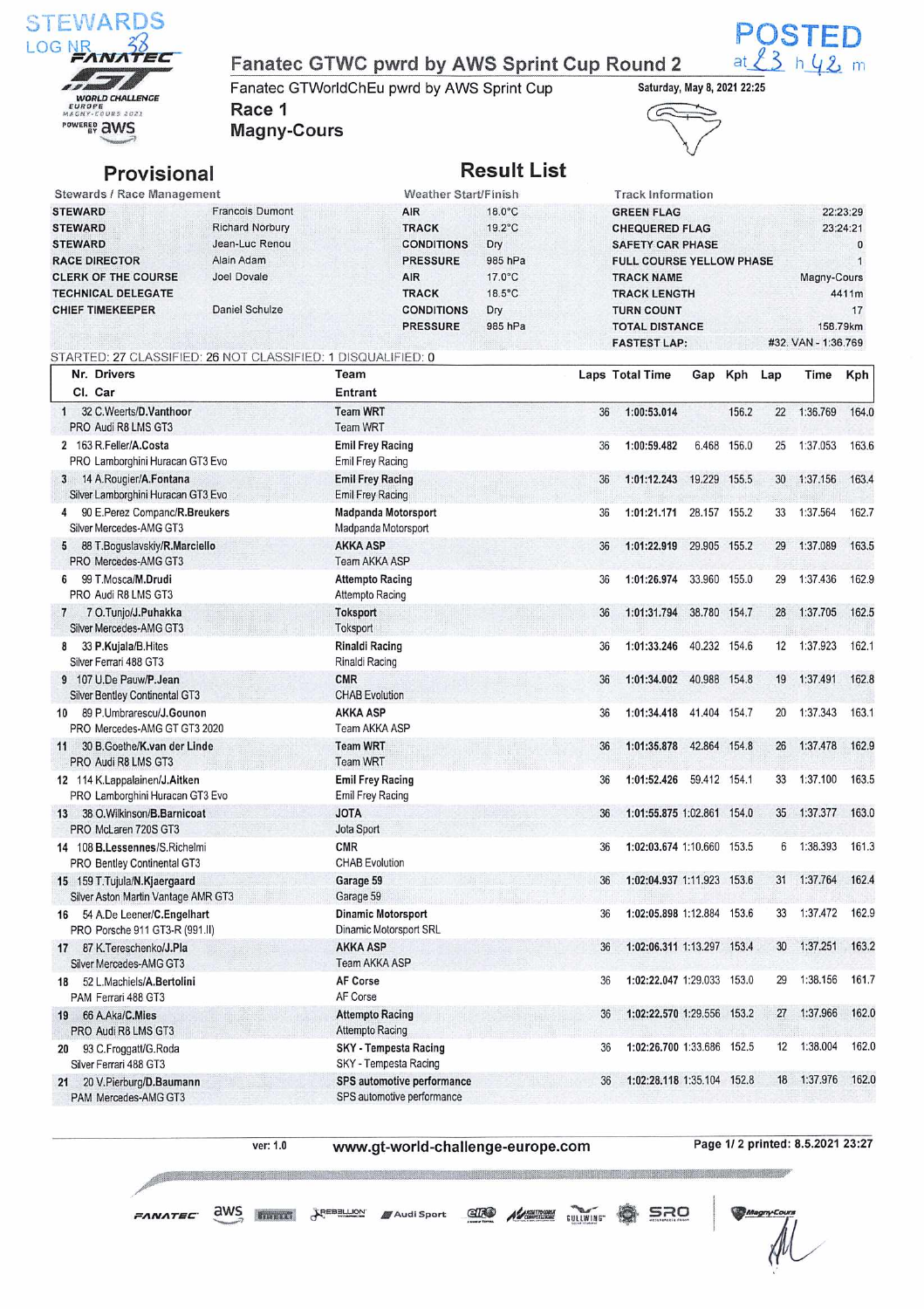

### Fanatec GTWC pwrd by AWS Sprint Cup Round 2

Fanatec GTWorldChEu pwrd by AWS Sprint Cup Race 1 Magny-Cours



 $23$  h 42 m

C

# Provisional **Result List**

| Stewards / Race Management |                        | Weather Start/Finish |                  | <b>Track Information</b>        |                     |
|----------------------------|------------------------|----------------------|------------------|---------------------------------|---------------------|
| <b>STEWARD</b>             | Francois Dumont        | AIR                  | $18.0^{\circ}$ C | <b>GREEN FLAG</b>               | 22:23:29            |
| <b>STEWARD</b>             | <b>Richard Norbury</b> | <b>TRACK</b>         | $19.2^{\circ}$ C | <b>CHEQUERED FLAG</b>           | 23:24:21            |
| <b>STEWARD</b>             | Jean-Luc Renou         | <b>CONDITIONS</b>    | Dry              | <b>SAFETY CAR PHASE</b>         | $\Omega$            |
| <b>RACE DIRECTOR</b>       | Alain Adam             | <b>PRESSURE</b>      | 985 hPa          | <b>FULL COURSE YELLOW PHASE</b> |                     |
| <b>CLERK OF THE COURSE</b> | Joel Dovale            | <b>AIR</b>           | $17.0^{\circ}$ C | <b>TRACK NAME</b>               | Magny-Cours         |
| <b>TECHNICAL DELEGATE</b>  |                        | <b>TRACK</b>         | $18.5^{\circ}$ C | <b>TRACK LENGTH</b>             | 4411m               |
| <b>CHIEF TIMEKEEPER</b>    | Daniel Schulze         | <b>CONDITIONS</b>    | Dry              | <b>TURN COUNT</b>               | 17                  |
|                            |                        | <b>PRESSURE</b>      | 985 hPa          | <b>TOTAL DISTANCE</b>           | 158.79km            |
|                            |                        |                      |                  | <b>FASTEST LAP:</b>             | #32, VAN - 1:36,769 |

### Nr. Drivers Cl. Car Team Entrant Laps Total Time Gap Kph Lap Time Kph 1 32 C.Weerts/O.Vanthoor PRO Audi R8 LMS GT3 2 163 R.Feller/A.Costa PRO Lamborghini Huracan GT3 Evo 3 14 A.Rougier/A.Fontana Silver Lamborghini Huracan GT3 Evo 4 90 E.Perez Companc/R.Breukers Silver Mercedes-AMG GT3 5 88 T.GogusIavskiy/R.Marciello PRO Mercedes-AMG GT3 **Team WRT** Team WRT Emil Frey Racing Emil Frey Racing Emil Frey Racing Emil Frey Racing Madpanda Motorsport Madpanda Motorsport AKKA ASP Team AKKA ASP 36 1:00:53.014 156.2 22 1:36.769 164.0 36 1:00:59.482 6.468 156.0 25 1:37.053 163.6 36 1:01:12.243 19.229 155.5 30 1:37.156 163.4

STARTED: 27 CLASSIFIED: 26 NOT CLASSIFIED: 1 DISQUALIFIED: 0

| 90 E.Perez Companc/R.Breukers<br>Silver Mercedes-AMG GT3            | <b>Madpanda Motorsport</b><br>Madpanda Motorsport     | 36 | 1:01:21.171                | 28.157 155.2 | 33              | 1:37.564    | 162.7 |
|---------------------------------------------------------------------|-------------------------------------------------------|----|----------------------------|--------------|-----------------|-------------|-------|
| 88 T.Boguslavskiy/R.Marciello<br>5<br>PRO Mercedes-AMG GT3          | <b>AKKA ASP</b><br>Team AKKA ASP                      | 36 | 1:01:22.919                | 29.905 155.2 | 29              | 1:37.089    | 163.5 |
| 99 T.Mosca/M.Drudi<br>6<br>PRO Audi R8 LMS GT3                      | <b>Attempto Racing</b><br><b>Attempto Racing</b>      | 36 | 1:01:26.974                | 33.960 155.0 | 29              | 1:37.436    | 162.9 |
| 7 O.Tunjo/J.Puhakka<br>$7\phantom{.0}$<br>Silver Mercedes-AMG GT3   | <b>Toksport</b><br>Toksport                           | 36 | 1:01:31.794                | 38.780 154.7 | 28              | 1:37.705    | 162.5 |
| 33 P.Kujala/B.Hites<br>8<br>Silver Ferrari 488 GT3                  | <b>Rinaldi Racing</b><br>Rinaldi Racing               | 36 | 1:01:33.246                | 40.232 154.6 | 12              | 1:37.923    | 162.1 |
| 9 107 U.De Pauw/P.Jean<br><b>Silver Bentley Continental GT3</b>     | <b>CMR</b><br><b>CHAB Evolution</b>                   | 36 | 1:01:34.002                | 40.988 154.8 | 19              | 1:37.491    | 162.8 |
| 89 P.Umbrarescu/J.Gounon<br>10<br>PRO Mercedes-AMG GT GT3 2020      | <b>AKKA ASP</b><br>Team AKKA ASP                      | 36 | 1:01:34.418                | 41.404 154.7 | 20              | 1:37.343    | 163.1 |
| 30 B.Goethe/K.van der Linde<br>11<br>PRO Audi R8 LMS GT3            | <b>Team WRT</b><br><b>Team WRT</b>                    | 36 | 1:01:35.878                | 42.864 154.8 | 26              | 1:37.478    | 162.9 |
| 12 114 K.Lappalainen/J.Aitken<br>PRO Lamborghini Huracan GT3 Evo    | <b>Emil Frey Racing</b><br><b>Emil Frey Racing</b>    | 36 | 1:01:52.426                | 59.412 154.1 | 33              | 1:37.100    | 163.5 |
| 38 O.Wilkinson/B.Barnicoat<br>13<br>PRO McLaren 720S GT3            | <b>JOTA</b><br>Jota Sport                             | 36 | 1:01:55.875 1:02.861 154.0 |              | 35              | 1:37.377    | 163.0 |
| 14 108 B.Lessennes/S.Richelmi<br>PRO Bentley Continental GT3        | <b>CMR</b><br><b>CHAB Evolution</b>                   | 36 | 1:02:03.674 1:10.660 153.5 |              | 6               | 1:38.393    | 161.3 |
| 15 159 T.Tujula/N.Kjaergaard<br>Silver Aston Martin Vantage AMR GT3 | Garage 59<br>Garage 59                                | 36 | 1:02:04.937 1:11.923 153.6 |              | 31              | 1:37.764    | 162.4 |
| 16 54 A.De Leener/C.Engelhart<br>PRO Porsche 911 GT3-R (991.II)     | <b>Dinamic Motorsport</b><br>Dinamic Motorsport SRL   | 36 | 1:02:05.898 1:12.884       | 153.6        | 33              | 1:37.472    | 162.9 |
| 87 K.Tereschenko/J.Pla<br>17<br>Silver Mercedes-AMG GT3             | <b>AKKA ASP</b><br>Team AKKA ASP                      | 36 | 1:02:06.311 1:13.297 153.4 |              | 30 <sup>°</sup> | 1:37.251    | 163.2 |
| 52 L.Machiels/A.Bertolini<br>18<br>PAM Ferrari 488 GT3              | <b>AF Corse</b><br>AF Corse                           | 36 | 1:02:22.047 1:29.033 153.0 |              | 29              | 1:38.156    | 161.7 |
| 66 A.Aka/C.Mies<br>19<br>PRO Audi R8 LMS GT3                        | <b>Attempto Racing</b><br><b>Attempto Racing</b>      | 36 | 1:02:22.570 1:29.556       | 153.2        | 27              | 1:37.966    | 162.0 |
| 93 C.Froggatt/G.Roda<br>20<br>Silver Ferrari 488 GT3                | <b>SKY - Tempesta Racing</b><br>SKY - Tempesta Racing | 36 | 1:02:26.700 1:33.686       | 152.5        | 12              | 1:38.004    | 162.0 |
| 20 V.Pierburg/D.Baumann<br>21                                       | SPS automotive performance                            | 36 | 1:02:28.118 1:35.104 152.8 |              |                 | 18 1:37.976 | 162.0 |

PAM Mercedes-AMG GT3

ver: 1.0 www.gt-world-challenge-europe.com Page 1/ 2 printed: 8.5.2021 23:27

SPS automotive performance

Magny

 $F$ ANATEC  $\frac{\partial W}{\partial y}$  **FIRELL**  $\frac{\partial F}{\partial y}$   $\frac{\partial F}{\partial y}$  and Sport  $\frac{\partial F}{\partial y}$   $\frac{\partial F}{\partial y}$   $\frac{\partial F}{\partial y}$  SRO